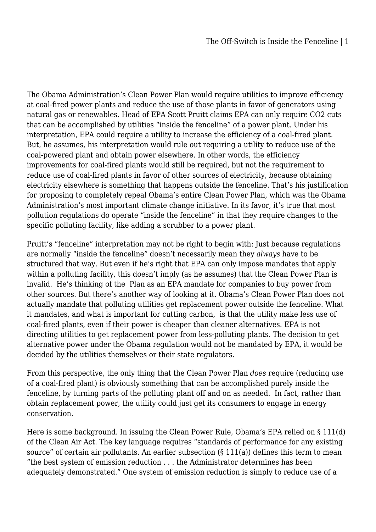The Obama Administration's Clean Power Plan would require utilities to improve efficiency at coal-fired power plants and reduce the use of those plants in favor of generators using natural gas or renewables. Head of EPA Scott Pruitt claims EPA can only require CO2 cuts that can be accomplished by utilities "inside the fenceline" of a power plant. Under his interpretation, EPA could require a utility to increase the efficiency of a coal-fired plant. But, he assumes, his interpretation would rule out requiring a utility to reduce use of the coal-powered plant and obtain power elsewhere. In other words, the efficiency improvements for coal-fired plants would still be required, but not the requirement to reduce use of coal-fired plants in favor of other sources of electricity, because obtaining electricity elsewhere is something that happens outside the fenceline. That's his justification for proposing to completely repeal Obama's entire Clean Power Plan, which was the Obama Administration's most important climate change initiative. In its favor, it's true that most pollution regulations do operate "inside the fenceline" in that they require changes to the specific polluting facility, like adding a scrubber to a power plant.

Pruitt's "fenceline" interpretation may not be right to begin with: Just because regulations are normally "inside the fenceline" doesn't necessarily mean they *always* have to be structured that way. But even if he's right that EPA can only impose mandates that apply within a polluting facility, this doesn't imply (as he assumes) that the Clean Power Plan is invalid. He's thinking of the Plan as an EPA mandate for companies to buy power from other sources. But there's another way of looking at it. Obama's Clean Power Plan does not actually mandate that polluting utilities get replacement power outside the fenceline. What it mandates, and what is important for cutting carbon, is that the utility make less use of coal-fired plants, even if their power is cheaper than cleaner alternatives. EPA is not directing utilities to get replacement power from less-polluting plants. The decision to get alternative power under the Obama regulation would not be mandated by EPA, it would be decided by the utilities themselves or their state regulators.

From this perspective, the only thing that the Clean Power Plan *does* require (reducing use of a coal-fired plant) is obviously something that can be accomplished purely inside the fenceline, by turning parts of the polluting plant off and on as needed. In fact, rather than obtain replacement power, the utility could just get its consumers to engage in energy conservation.

Here is some background. In issuing the Clean Power Rule, Obama's EPA relied on § 111(d) of the Clean Air Act. The key language requires "standards of performance for any existing source" of certain air pollutants. An earlier subsection (§ 111(a)) defines this term to mean "the best system of emission reduction . . . the Administrator determines has been adequately demonstrated." One system of emission reduction is simply to reduce use of a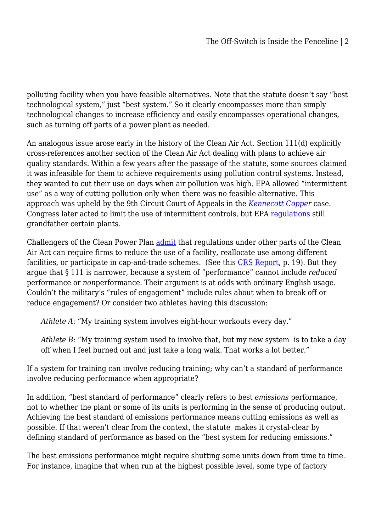polluting facility when you have feasible alternatives. Note that the statute doesn't say "best technological system," just "best system." So it clearly encompasses more than simply technological changes to increase efficiency and easily encompasses operational changes, such as turning off parts of a power plant as needed.

An analogous issue arose early in the history of the Clean Air Act. Section 111(d) explicitly cross-references another section of the Clean Air Act dealing with plans to achieve air quality standards. Within a few years after the passage of the statute, some sources claimed it was infeasible for them to achieve requirements using pollution control systems. Instead, they wanted to cut their use on days when air pollution was high. EPA allowed "intermittent use" as a way of cutting pollution only when there was no feasible alternative. This approach was upheld by the 9th Circuit Court of Appeals in the *[Kennecott Copper](https://www.leagle.com/decision/19751675526f2d114911460)* case. Congress later acted to limit the use of intermittent controls, but EPA [regulations](https://www.law.cornell.edu/cfr/text/40/51.119) still grandfather certain plants.

Challengers of the Clean Power Plan [admit](https://fas.org/sgp/crs/misc/R44480.pdf) that regulations under other parts of the Clean Air Act can require firms to reduce the use of a facility, reallocate use among different facilities, or participate in cap-and-trade schemes. (See this [CRS Report](https://fas.org/sgp/crs/misc/R44480.pdf), p. 19). But they argue that § 111 is narrower, because a system of "performance" cannot include *reduced* performance or *non*performance. Their argument is at odds with ordinary English usage. Couldn't the military's "rules of engagement" include rules about when to break off or reduce engagement? Or consider two athletes having this discussion:

*Athlete A*: "My training system involves eight-hour workouts every day."

*Athlete B*: "My training system used to involve that, but my new system is to take a day off when I feel burned out and just take a long walk. That works a lot better."

If a system for training can involve reducing training; why can't a standard of performance involve reducing performance when appropriate?

In addition, "best standard of performance" clearly refers to best *emissions* performance, not to whether the plant or some of its units is performing in the sense of producing output. Achieving the best standard of emissions performance means cutting emissions as well as possible. If that weren't clear from the context, the statute makes it crystal-clear by defining standard of performance as based on the "best system for reducing emissions."

The best emissions performance might require shutting some units down from time to time. For instance, imagine that when run at the highest possible level, some type of factory